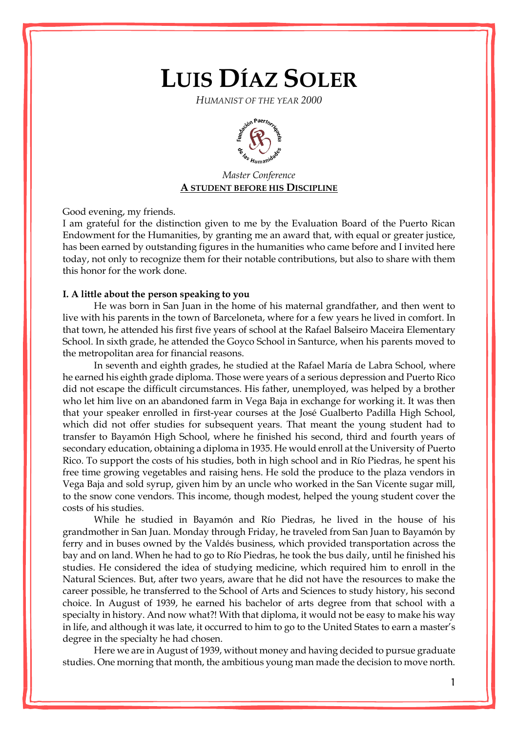# **LUIS DÍAZ SOLER**

*HUMANIST OF THE YEAR 2000*



# *Master Conference* **A STUDENT BEFORE HIS DISCIPLINE**

Good evening, my friends.

I am grateful for the distinction given to me by the Evaluation Board of the Puerto Rican Endowment for the Humanities, by granting me an award that, with equal or greater justice, has been earned by outstanding figures in the humanities who came before and I invited here today, not only to recognize them for their notable contributions, but also to share with them this honor for the work done.

## **I. A little about the person speaking to you**

He was born in San Juan in the home of his maternal grandfather, and then went to live with his parents in the town of Barceloneta, where for a few years he lived in comfort. In that town, he attended his first five years of school at the Rafael Balseiro Maceira Elementary School. In sixth grade, he attended the Goyco School in Santurce, when his parents moved to the metropolitan area for financial reasons.

In seventh and eighth grades, he studied at the Rafael María de Labra School, where he earned his eighth grade diploma. Those were years of a serious depression and Puerto Rico did not escape the difficult circumstances. His father, unemployed, was helped by a brother who let him live on an abandoned farm in Vega Baja in exchange for working it. It was then that your speaker enrolled in first-year courses at the José Gualberto Padilla High School, which did not offer studies for subsequent years. That meant the young student had to transfer to Bayamón High School, where he finished his second, third and fourth years of secondary education, obtaining a diploma in 1935. He would enroll at the University of Puerto Rico. To support the costs of his studies, both in high school and in Río Piedras, he spent his free time growing vegetables and raising hens. He sold the produce to the plaza vendors in Vega Baja and sold syrup, given him by an uncle who worked in the San Vicente sugar mill, to the snow cone vendors. This income, though modest, helped the young student cover the costs of his studies.

While he studied in Bayamón and Río Piedras, he lived in the house of his grandmother in San Juan. Monday through Friday, he traveled from San Juan to Bayamón by ferry and in buses owned by the Valdés business, which provided transportation across the bay and on land. When he had to go to Río Piedras, he took the bus daily, until he finished his studies. He considered the idea of studying medicine, which required him to enroll in the Natural Sciences. But, after two years, aware that he did not have the resources to make the career possible, he transferred to the School of Arts and Sciences to study history, his second choice. In August of 1939, he earned his bachelor of arts degree from that school with a specialty in history. And now what?! With that diploma, it would not be easy to make his way in life, and although it was late, it occurred to him to go to the United States to earn a master's degree in the specialty he had chosen.

Here we are in August of 1939, without money and having decided to pursue graduate studies. One morning that month, the ambitious young man made the decision to move north.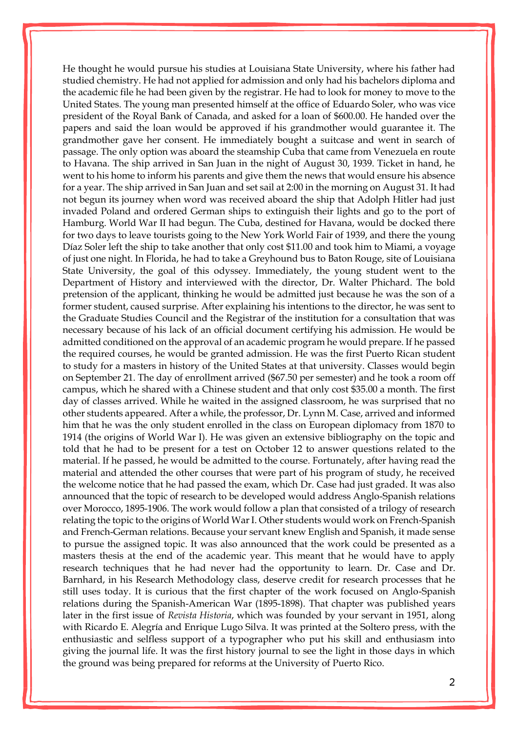He thought he would pursue his studies at Louisiana State University, where his father had studied chemistry. He had not applied for admission and only had his bachelors diploma and the academic file he had been given by the registrar. He had to look for money to move to the United States. The young man presented himself at the office of Eduardo Soler, who was vice president of the Royal Bank of Canada, and asked for a loan of \$600.00. He handed over the papers and said the loan would be approved if his grandmother would guarantee it. The grandmother gave her consent. He immediately bought a suitcase and went in search of passage. The only option was aboard the steamship Cuba that came from Venezuela en route to Havana. The ship arrived in San Juan in the night of August 30, 1939. Ticket in hand, he went to his home to inform his parents and give them the news that would ensure his absence for a year. The ship arrived in San Juan and set sail at 2:00 in the morning on August 31. It had not begun its journey when word was received aboard the ship that Adolph Hitler had just invaded Poland and ordered German ships to extinguish their lights and go to the port of Hamburg. World War II had begun. The Cuba, destined for Havana, would be docked there for two days to leave tourists going to the New York World Fair of 1939, and there the young Díaz Soler left the ship to take another that only cost \$11.00 and took him to Miami, a voyage of just one night. In Florida, he had to take a Greyhound bus to Baton Rouge, site of Louisiana State University, the goal of this odyssey. Immediately, the young student went to the Department of History and interviewed with the director, Dr. Walter Phichard. The bold pretension of the applicant, thinking he would be admitted just because he was the son of a former student, caused surprise. After explaining his intentions to the director, he was sent to the Graduate Studies Council and the Registrar of the institution for a consultation that was necessary because of his lack of an official document certifying his admission. He would be admitted conditioned on the approval of an academic program he would prepare. If he passed the required courses, he would be granted admission. He was the first Puerto Rican student to study for a masters in history of the United States at that university. Classes would begin on September 21. The day of enrollment arrived (\$67.50 per semester) and he took a room off campus, which he shared with a Chinese student and that only cost \$35.00 a month. The first day of classes arrived. While he waited in the assigned classroom, he was surprised that no other students appeared. After a while, the professor, Dr. Lynn M. Case, arrived and informed him that he was the only student enrolled in the class on European diplomacy from 1870 to 1914 (the origins of World War I). He was given an extensive bibliography on the topic and told that he had to be present for a test on October 12 to answer questions related to the material. If he passed, he would be admitted to the course. Fortunately, after having read the material and attended the other courses that were part of his program of study, he received the welcome notice that he had passed the exam, which Dr. Case had just graded. It was also announced that the topic of research to be developed would address Anglo-Spanish relations over Morocco, 1895-1906. The work would follow a plan that consisted of a trilogy of research relating the topic to the origins of World War I. Other students would work on French-Spanish and French-German relations. Because your servant knew English and Spanish, it made sense to pursue the assigned topic. It was also announced that the work could be presented as a masters thesis at the end of the academic year. This meant that he would have to apply research techniques that he had never had the opportunity to learn. Dr. Case and Dr. Barnhard, in his Research Methodology class, deserve credit for research processes that he still uses today. It is curious that the first chapter of the work focused on Anglo-Spanish relations during the Spanish-American War (1895-1898). That chapter was published years later in the first issue of *Revista Historia*, which was founded by your servant in 1951, along with Ricardo E. Alegría and Enrique Lugo Silva. It was printed at the Soltero press, with the enthusiastic and selfless support of a typographer who put his skill and enthusiasm into giving the journal life. It was the first history journal to see the light in those days in which the ground was being prepared for reforms at the University of Puerto Rico.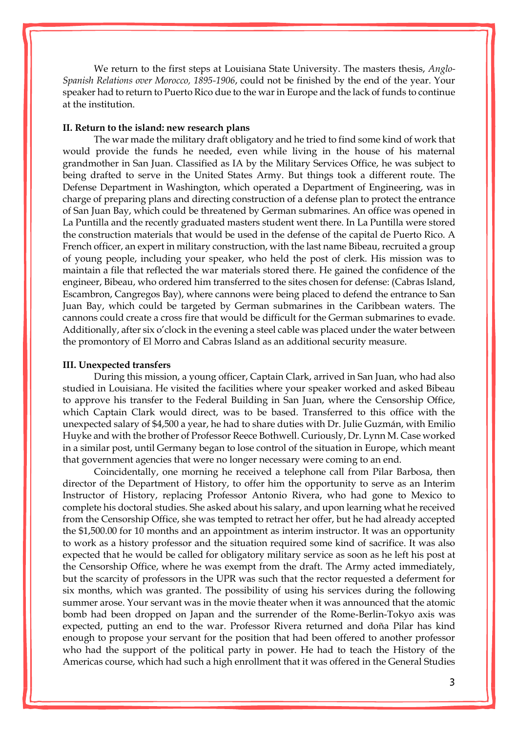We return to the first steps at Louisiana State University. The masters thesis, *Anglo-Spanish Relations over Morocco, 1895-1906*, could not be finished by the end of the year. Your speaker had to return to Puerto Rico due to the war in Europe and the lack of funds to continue at the institution.

### **II. Return to the island: new research plans**

The war made the military draft obligatory and he tried to find some kind of work that would provide the funds he needed, even while living in the house of his maternal grandmother in San Juan. Classified as IA by the Military Services Office, he was subject to being drafted to serve in the United States Army. But things took a different route. The Defense Department in Washington, which operated a Department of Engineering, was in charge of preparing plans and directing construction of a defense plan to protect the entrance of San Juan Bay, which could be threatened by German submarines. An office was opened in La Puntilla and the recently graduated masters student went there. In La Puntilla were stored the construction materials that would be used in the defense of the capital de Puerto Rico. A French officer, an expert in military construction, with the last name Bibeau, recruited a group of young people, including your speaker, who held the post of clerk. His mission was to maintain a file that reflected the war materials stored there. He gained the confidence of the engineer, Bibeau, who ordered him transferred to the sites chosen for defense: (Cabras Island, Escambron, Cangregos Bay), where cannons were being placed to defend the entrance to San Juan Bay, which could be targeted by German submarines in the Caribbean waters. The cannons could create a cross fire that would be difficult for the German submarines to evade. Additionally, after six o'clock in the evening a steel cable was placed under the water between the promontory of El Morro and Cabras Island as an additional security measure.

#### **III. Unexpected transfers**

During this mission, a young officer, Captain Clark, arrived in San Juan, who had also studied in Louisiana. He visited the facilities where your speaker worked and asked Bibeau to approve his transfer to the Federal Building in San Juan, where the Censorship Office, which Captain Clark would direct, was to be based. Transferred to this office with the unexpected salary of \$4,500 a year, he had to share duties with Dr. Julie Guzmán, with Emilio Huyke and with the brother of Professor Reece Bothwell. Curiously, Dr. Lynn M. Case worked in a similar post, until Germany began to lose control of the situation in Europe, which meant that government agencies that were no longer necessary were coming to an end.

Coincidentally, one morning he received a telephone call from Pilar Barbosa, then director of the Department of History, to offer him the opportunity to serve as an Interim Instructor of History, replacing Professor Antonio Rivera, who had gone to Mexico to complete his doctoral studies. She asked about his salary, and upon learning what he received from the Censorship Office, she was tempted to retract her offer, but he had already accepted the \$1,500.00 for 10 months and an appointment as interim instructor. It was an opportunity to work as a history professor and the situation required some kind of sacrifice. It was also expected that he would be called for obligatory military service as soon as he left his post at the Censorship Office, where he was exempt from the draft. The Army acted immediately, but the scarcity of professors in the UPR was such that the rector requested a deferment for six months, which was granted. The possibility of using his services during the following summer arose. Your servant was in the movie theater when it was announced that the atomic bomb had been dropped on Japan and the surrender of the Rome-Berlin-Tokyo axis was expected, putting an end to the war. Professor Rivera returned and doña Pilar has kind enough to propose your servant for the position that had been offered to another professor who had the support of the political party in power. He had to teach the History of the Americas course, which had such a high enrollment that it was offered in the General Studies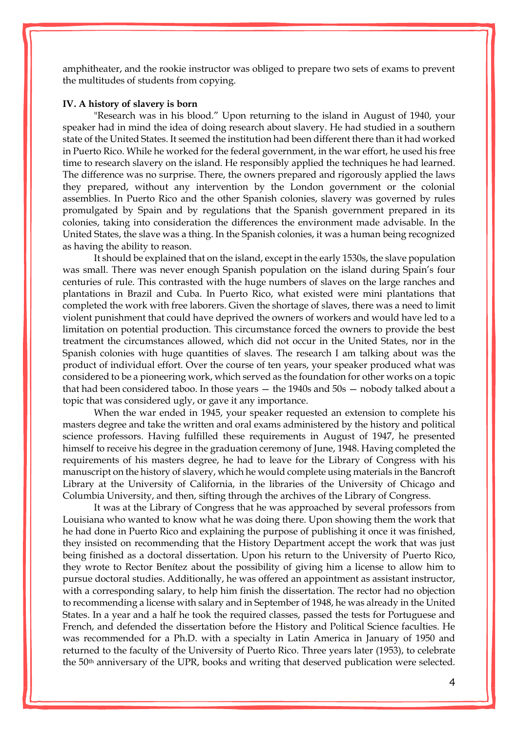amphitheater, and the rookie instructor was obliged to prepare two sets of exams to prevent the multitudes of students from copying.

#### **IV. A history of slavery is born**

"Research was in his blood." Upon returning to the island in August of 1940, your speaker had in mind the idea of doing research about slavery. He had studied in a southern state of the United States. It seemed the institution had been different there than it had worked in Puerto Rico. While he worked for the federal government, in the war effort, he used his free time to research slavery on the island. He responsibly applied the techniques he had learned. The difference was no surprise. There, the owners prepared and rigorously applied the laws they prepared, without any intervention by the London government or the colonial assemblies. In Puerto Rico and the other Spanish colonies, slavery was governed by rules promulgated by Spain and by regulations that the Spanish government prepared in its colonies, taking into consideration the differences the environment made advisable. In the United States, the slave was a thing. In the Spanish colonies, it was a human being recognized as having the ability to reason.

It should be explained that on the island, except in the early 1530s, the slave population was small. There was never enough Spanish population on the island during Spain's four centuries of rule. This contrasted with the huge numbers of slaves on the large ranches and plantations in Brazil and Cuba. In Puerto Rico, what existed were mini plantations that completed the work with free laborers. Given the shortage of slaves, there was a need to limit violent punishment that could have deprived the owners of workers and would have led to a limitation on potential production. This circumstance forced the owners to provide the best treatment the circumstances allowed, which did not occur in the United States, nor in the Spanish colonies with huge quantities of slaves. The research I am talking about was the product of individual effort. Over the course of ten years, your speaker produced what was considered to be a pioneering work, which served as the foundation for other works on a topic that had been considered taboo. In those years — the 1940s and 50s — nobody talked about a topic that was considered ugly, or gave it any importance.

When the war ended in 1945, your speaker requested an extension to complete his masters degree and take the written and oral exams administered by the history and political science professors. Having fulfilled these requirements in August of 1947, he presented himself to receive his degree in the graduation ceremony of June, 1948. Having completed the requirements of his masters degree, he had to leave for the Library of Congress with his manuscript on the history of slavery, which he would complete using materials in the Bancroft Library at the University of California, in the libraries of the University of Chicago and Columbia University, and then, sifting through the archives of the Library of Congress.

It was at the Library of Congress that he was approached by several professors from Louisiana who wanted to know what he was doing there. Upon showing them the work that he had done in Puerto Rico and explaining the purpose of publishing it once it was finished, they insisted on recommending that the History Department accept the work that was just being finished as a doctoral dissertation. Upon his return to the University of Puerto Rico, they wrote to Rector Benítez about the possibility of giving him a license to allow him to pursue doctoral studies. Additionally, he was offered an appointment as assistant instructor, with a corresponding salary, to help him finish the dissertation. The rector had no objection to recommending a license with salary and in September of 1948, he was already in the United States. In a year and a half he took the required classes, passed the tests for Portuguese and French, and defended the dissertation before the History and Political Science faculties. He was recommended for a Ph.D. with a specialty in Latin America in January of 1950 and returned to the faculty of the University of Puerto Rico. Three years later (1953), to celebrate the 50th anniversary of the UPR, books and writing that deserved publication were selected.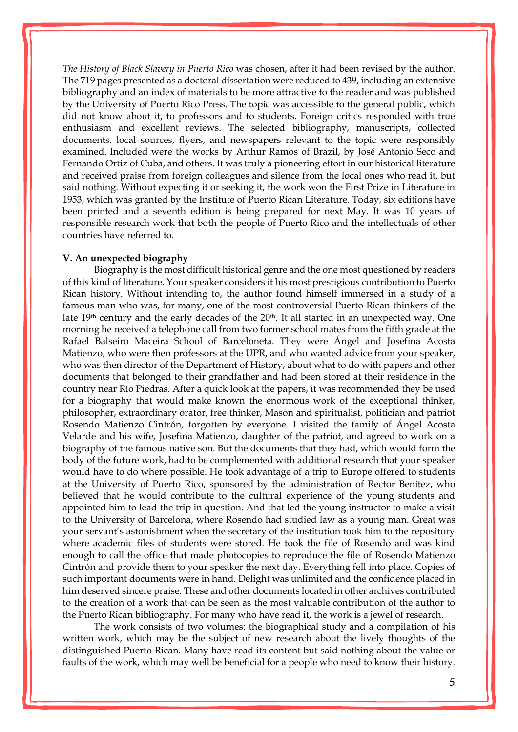*The History of Black Slavery in Puerto Rico* was chosen, after it had been revised by the author. The 719 pages presented as a doctoral dissertation were reduced to 439, including an extensive bibliography and an index of materials to be more attractive to the reader and was published by the University of Puerto Rico Press. The topic was accessible to the general public, which did not know about it, to professors and to students. Foreign critics responded with true enthusiasm and excellent reviews. The selected bibliography, manuscripts, collected documents, local sources, flyers, and newspapers relevant to the topic were responsibly examined. Included were the works by Arthur Ramos of Brazil, by José Antonio Seco and Fernando Ortiz of Cuba, and others. It was truly a pioneering effort in our historical literature and received praise from foreign colleagues and silence from the local ones who read it, but said nothing. Without expecting it or seeking it, the work won the First Prize in Literature in 1953, which was granted by the Institute of Puerto Rican Literature. Today, six editions have been printed and a seventh edition is being prepared for next May. It was 10 years of responsible research work that both the people of Puerto Rico and the intellectuals of other countries have referred to.

#### **V. An unexpected biography**

Biography is the most difficult historical genre and the one most questioned by readers of this kind of literature. Your speaker considers it his most prestigious contribution to Puerto Rican history. Without intending to, the author found himself immersed in a study of a famous man who was, for many, one of the most controversial Puerto Rican thinkers of the late 19<sup>th</sup> century and the early decades of the 20<sup>th</sup>. It all started in an unexpected way. One morning he received a telephone call from two former school mates from the fifth grade at the Rafael Balseiro Maceira School of Barceloneta. They were Ángel and Josefina Acosta Matienzo, who were then professors at the UPR, and who wanted advice from your speaker, who was then director of the Department of History, about what to do with papers and other documents that belonged to their grandfather and had been stored at their residence in the country near Río Piedras. After a quick look at the papers, it was recommended they be used for a biography that would make known the enormous work of the exceptional thinker, philosopher, extraordinary orator, free thinker, Mason and spiritualist, politician and patriot Rosendo Matienzo Cintrón, forgotten by everyone. I visited the family of Ángel Acosta Velarde and his wife, Josefina Matienzo, daughter of the patriot, and agreed to work on a biography of the famous native son. But the documents that they had, which would form the body of the future work, had to be complemented with additional research that your speaker would have to do where possible. He took advantage of a trip to Europe offered to students at the University of Puerto Rico, sponsored by the administration of Rector Benítez, who believed that he would contribute to the cultural experience of the young students and appointed him to lead the trip in question. And that led the young instructor to make a visit to the University of Barcelona, where Rosendo had studied law as a young man. Great was your servant's astonishment when the secretary of the institution took him to the repository where academic files of students were stored. He took the file of Rosendo and was kind enough to call the office that made photocopies to reproduce the file of Rosendo Matienzo Cintrón and provide them to your speaker the next day. Everything fell into place. Copies of such important documents were in hand. Delight was unlimited and the confidence placed in him deserved sincere praise. These and other documents located in other archives contributed to the creation of a work that can be seen as the most valuable contribution of the author to the Puerto Rican bibliography. For many who have read it, the work is a jewel of research.

The work consists of two volumes: the biographical study and a compilation of his written work, which may be the subject of new research about the lively thoughts of the distinguished Puerto Rican. Many have read its content but said nothing about the value or faults of the work, which may well be beneficial for a people who need to know their history.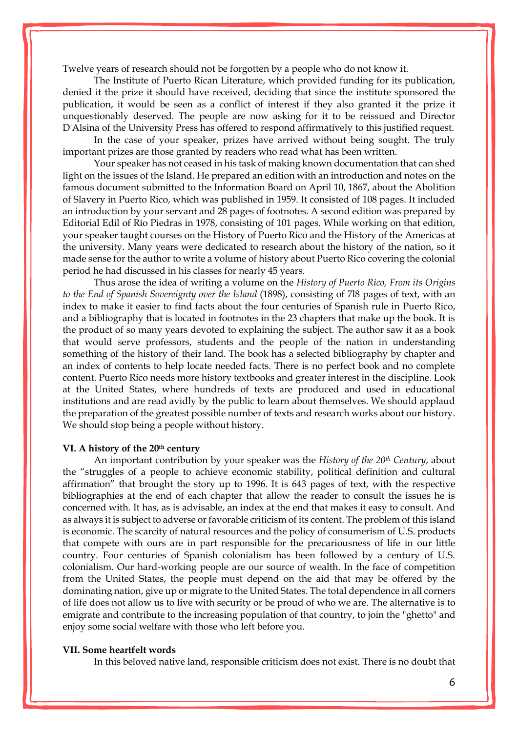Twelve years of research should not be forgotten by a people who do not know it.

The Institute of Puerto Rican Literature, which provided funding for its publication, denied it the prize it should have received, deciding that since the institute sponsored the publication, it would be seen as a conflict of interest if they also granted it the prize it unquestionably deserved. The people are now asking for it to be reissued and Director D'Alsina of the University Press has offered to respond affirmatively to this justified request.

In the case of your speaker, prizes have arrived without being sought. The truly important prizes are those granted by readers who read what has been written.

Your speaker has not ceased in his task of making known documentation that can shed light on the issues of the Island. He prepared an edition with an introduction and notes on the famous document submitted to the Information Board on April 10, 1867, about the Abolition of Slavery in Puerto Rico, which was published in 1959. It consisted of 108 pages. It included an introduction by your servant and 28 pages of footnotes. A second edition was prepared by Editorial Edil of Río Piedras in 1978, consisting of 101 pages. While working on that edition, your speaker taught courses on the History of Puerto Rico and the History of the Americas at the university. Many years were dedicated to research about the history of the nation, so it made sense for the author to write a volume of history about Puerto Rico covering the colonial period he had discussed in his classes for nearly 45 years.

Thus arose the idea of writing a volume on the *History of Puerto Rico, From its Origins to the End of Spanish Sovereignty over the Island* (1898), consisting of 7l8 pages of text, with an index to make it easier to find facts about the four centuries of Spanish rule in Puerto Rico, and a bibliography that is located in footnotes in the 23 chapters that make up the book. It is the product of so many years devoted to explaining the subject. The author saw it as a book that would serve professors, students and the people of the nation in understanding something of the history of their land. The book has a selected bibliography by chapter and an index of contents to help locate needed facts. There is no perfect book and no complete content. Puerto Rico needs more history textbooks and greater interest in the discipline. Look at the United States, where hundreds of texts are produced and used in educational institutions and are read avidly by the public to learn about themselves. We should applaud the preparation of the greatest possible number of texts and research works about our history. We should stop being a people without history.

#### **VI. A history of the 20th century**

An important contribution by your speaker was the *History of the 20th Century*, about the "struggles of a people to achieve economic stability, political definition and cultural affirmation" that brought the story up to 1996. It is 643 pages of text, with the respective bibliographies at the end of each chapter that allow the reader to consult the issues he is concerned with. It has, as is advisable, an index at the end that makes it easy to consult. And as always it is subject to adverse or favorable criticism of its content. The problem of this island is economic. The scarcity of natural resources and the policy of consumerism of U.S. products that compete with ours are in part responsible for the precariousness of life in our little country. Four centuries of Spanish colonialism has been followed by a century of U.S. colonialism. Our hard-working people are our source of wealth. In the face of competition from the United States, the people must depend on the aid that may be offered by the dominating nation, give up or migrate to the United States. The total dependence in all corners of life does not allow us to live with security or be proud of who we are. The alternative is to emigrate and contribute to the increasing population of that country, to join the "ghetto" and enjoy some social welfare with those who left before you.

#### **VII. Some heartfelt words**

In this beloved native land, responsible criticism does not exist. There is no doubt that